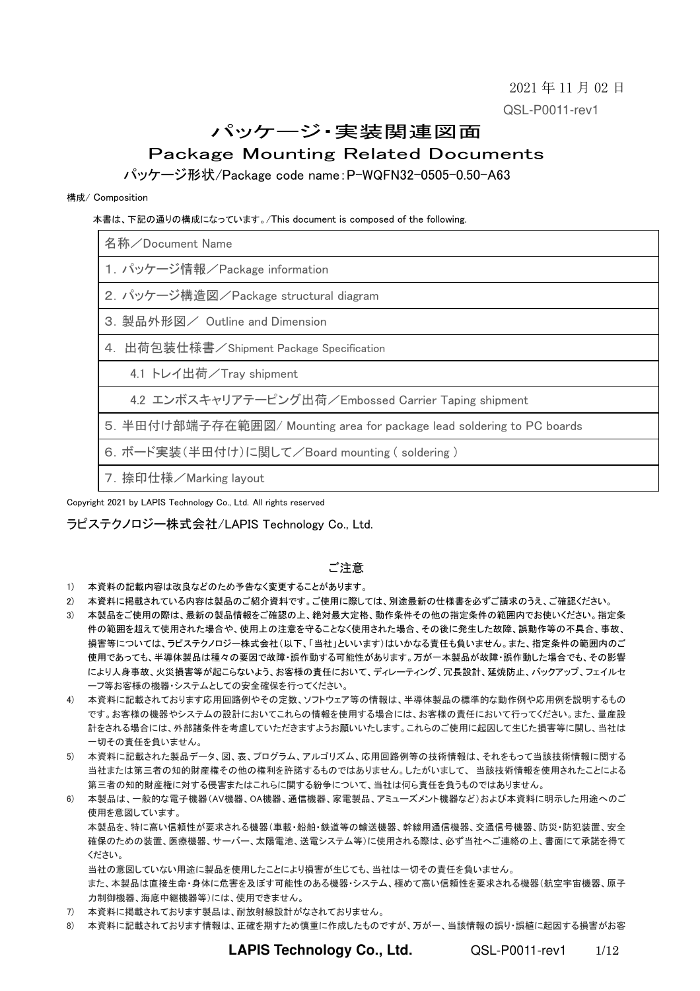2021 年 11 月 02 日 QSL-P0011-rev1

# パッケージ・実装関連図面

# Package Mounting Related Documents

パッケージ形状/Package code name:P-WQFN32-0505-0.50-A63

#### 構成/ Composition

本書は、下記の通りの構成になっています。/This document is composed of the following.

| 名称/Document Name                                                       |
|------------------------------------------------------------------------|
| 1. パッケージ情報/Package information                                         |
| 2. パッケージ構造図/Package structural diagram                                 |
| 3. 製品外形図/ Outline and Dimension                                        |
| 4. 出荷包装仕様書/Shipment Package Specification                              |
| 4.1 トレイ出荷/Tray shipment                                                |
| 4.2 エンボスキャリアテーピング出荷/Embossed Carrier Taping shipment                   |
| 5. 半田付け部端子存在範囲図/ Mounting area for package lead soldering to PC boards |
| 6. ボード実装(半田付け)に関して/Board mounting (soldering)                          |
| 7. 捺印仕様/Marking layout                                                 |

Copyright 2021 by LAPIS Technology Co., Ltd. All rights reserved

ラピステクノロジー株式会社/LAPIS Technology Co., Ltd.

### ご注意

- 1) 本資料の記載内容は改良などのため予告なく変更することがあります。
- 2) 本資料に掲載されている内容は製品のご紹介資料です。ご使用に際しては、別途最新の仕様書を必ずご請求のうえ、ご確認ください。
- 3) 本製品をご使用の際は、最新の製品情報をご確認の上、絶対最大定格、動作条件その他の指定条件の範囲内でお使いください。指定条 件の範囲を超えて使用された場合や、使用上の注意を守ることなく使用された場合、その後に発生した故障、誤動作等の不具合、事故、 損害等については、ラピステクノロジー株式会社(以下、「当社」といいます)はいかなる責任も負いません。また、指定条件の範囲内のご 使用であっても、半導体製品は種々の要因で故障・誤作動する可能性があります。万が一本製品が故障・誤作動した場合でも、その影響 により人身事故、火災損害等が起こらないよう、お客様の責任において、ディレーティング、冗長設計、延焼防止、バックアップ、フェイルセ ーフ等お客様の機器・システムとしての安全確保を行ってください。
- 4) 本資料に記載されております応用回路例やその定数、ソフトウェア等の情報は、半導体製品の標準的な動作例や応用例を説明するもの です。お客様の機器やシステムの設計においてこれらの情報を使用する場合には、お客様の責任において行ってください。また、量産設 計をされる場合には、外部諸条件を考慮していただきますようお願いいたします。これらのご使用に起因して生じた損害等に関し、当社は 一切その責任を負いません。
- 5) 本資料に記載された製品データ、図、表、プログラム、アルゴリズム、応用回路例等の技術情報は、それをもって当該技術情報に関する 当社または第三者の知的財産権その他の権利を許諾するものではありません。したがいまして、 当該技術情報を使用されたことによる 第三者の知的財産権に対する侵害またはこれらに関する紛争について、当社は何ら責任を負うものではありません。
- 6) 本製品は、一般的な電子機器(AV機器、OA機器、通信機器、家電製品、アミューズメント機器など)および本資料に明示した用途へのご 使用を意図しています。

本製品を、特に高い信頼性が要求される機器(車載・船舶・鉄道等の輸送機器、幹線用通信機器、交通信号機器、防災・防犯装置、安全 確保のための装置、医療機器、サーバー、太陽電池、送電システム等)に使用される際は、必ず当社へご連絡の上、書面にて承諾を得て ください。

当社の意図していない用途に製品を使用したことにより損害が生じても、当社は一切その責任を負いません。

また、本製品は直接生命・身体に危害を及ぼす可能性のある機器・システム、極めて高い信頼性を要求される機器(航空宇宙機器、原子 力制御機器、海底中継機器等)には、使用できません。

- 7) 本資料に掲載されております製品は、耐放射線設計がなされておりません。
- 8) 本資料に記載されております情報は、正確を期すため慎重に作成したものですが、万が一、当該情報の誤り・誤植に起因する損害がお客

**LAPIS Technology Co., Ltd.** QSL-P0011-rev1 1/12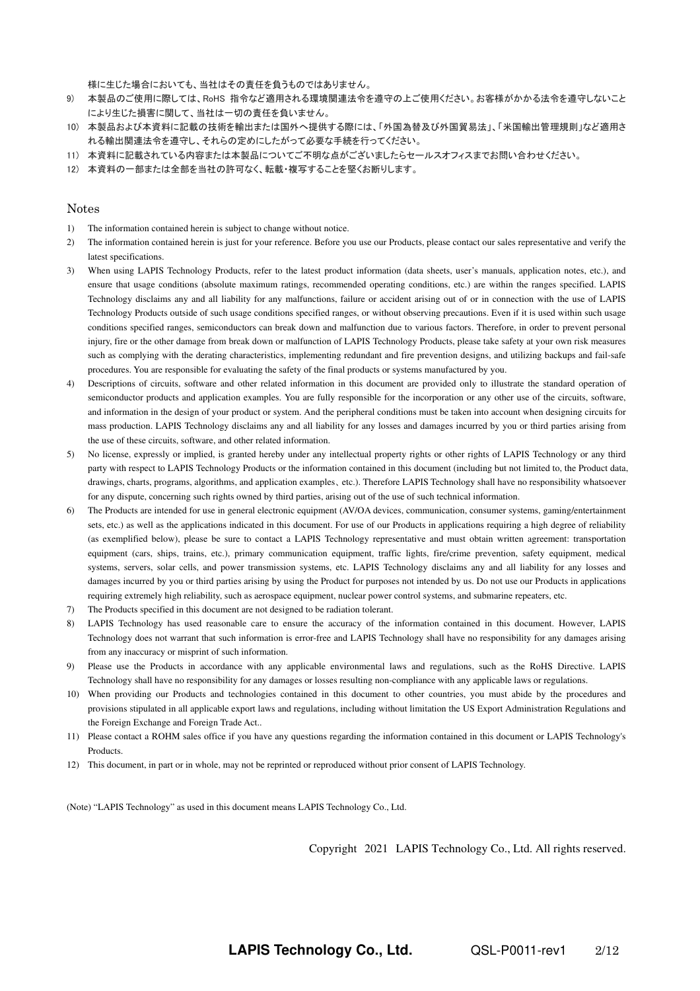様に生じた場合においても、当社はその責任を負うものではありません。

- 9) 本製品のご使用に際しては、RoHS 指令など適用される環境関連法令を遵守の上ご使用ください。お客様がかかる法令を遵守しないこと により生じた損害に関して、当社は一切の責任を負いません。
- 10) 本製品および本資料に記載の技術を輸出または国外へ提供する際には、「外国為替及び外国貿易法」、「米国輸出管理規則」など適用さ れる輸出関連法令を遵守し、それらの定めにしたがって必要な手続を行ってください。
- 11) 本資料に記載されている内容または本製品についてご不明な点がございましたらセールスオフィスまでお問い合わせください。
- 12) 本資料の一部または全部を当社の許可なく、転載・複写することを堅くお断りします。

#### Notes

- 1) The information contained herein is subject to change without notice.
- 2) The information contained herein is just for your reference. Before you use our Products, please contact our sales representative and verify the latest specifications.
- 3) When using LAPIS Technology Products, refer to the latest product information (data sheets, user's manuals, application notes, etc.), and ensure that usage conditions (absolute maximum ratings, recommended operating conditions, etc.) are within the ranges specified. LAPIS Technology disclaims any and all liability for any malfunctions, failure or accident arising out of or in connection with the use of LAPIS Technology Products outside of such usage conditions specified ranges, or without observing precautions. Even if it is used within such usage conditions specified ranges, semiconductors can break down and malfunction due to various factors. Therefore, in order to prevent personal injury, fire or the other damage from break down or malfunction of LAPIS Technology Products, please take safety at your own risk measures such as complying with the derating characteristics, implementing redundant and fire prevention designs, and utilizing backups and fail-safe procedures. You are responsible for evaluating the safety of the final products or systems manufactured by you.
- 4) Descriptions of circuits, software and other related information in this document are provided only to illustrate the standard operation of semiconductor products and application examples. You are fully responsible for the incorporation or any other use of the circuits, software, and information in the design of your product or system. And the peripheral conditions must be taken into account when designing circuits for mass production. LAPIS Technology disclaims any and all liability for any losses and damages incurred by you or third parties arising from the use of these circuits, software, and other related information.
- 5) No license, expressly or implied, is granted hereby under any intellectual property rights or other rights of LAPIS Technology or any third party with respect to LAPIS Technology Products or the information contained in this document (including but not limited to, the Product data, drawings, charts, programs, algorithms, and application examples、etc.). Therefore LAPIS Technology shall have no responsibility whatsoever for any dispute, concerning such rights owned by third parties, arising out of the use of such technical information.
- 6) The Products are intended for use in general electronic equipment (AV/OA devices, communication, consumer systems, gaming/entertainment sets, etc.) as well as the applications indicated in this document. For use of our Products in applications requiring a high degree of reliability (as exemplified below), please be sure to contact a LAPIS Technology representative and must obtain written agreement: transportation equipment (cars, ships, trains, etc.), primary communication equipment, traffic lights, fire/crime prevention, safety equipment, medical systems, servers, solar cells, and power transmission systems, etc. LAPIS Technology disclaims any and all liability for any losses and damages incurred by you or third parties arising by using the Product for purposes not intended by us. Do not use our Products in applications requiring extremely high reliability, such as aerospace equipment, nuclear power control systems, and submarine repeaters, etc.
- 7) The Products specified in this document are not designed to be radiation tolerant.
- 8) LAPIS Technology has used reasonable care to ensure the accuracy of the information contained in this document. However, LAPIS Technology does not warrant that such information is error-free and LAPIS Technology shall have no responsibility for any damages arising from any inaccuracy or misprint of such information.
- 9) Please use the Products in accordance with any applicable environmental laws and regulations, such as the RoHS Directive. LAPIS Technology shall have no responsibility for any damages or losses resulting non-compliance with any applicable laws or regulations.
- 10) When providing our Products and technologies contained in this document to other countries, you must abide by the procedures and provisions stipulated in all applicable export laws and regulations, including without limitation the US Export Administration Regulations and the Foreign Exchange and Foreign Trade Act..
- 11) Please contact a ROHM sales office if you have any questions regarding the information contained in this document or LAPIS Technology's Products.
- 12) This document, in part or in whole, may not be reprinted or reproduced without prior consent of LAPIS Technology.

(Note) "LAPIS Technology" as used in this document means LAPIS Technology Co., Ltd.

Copyright 2021 LAPIS Technology Co., Ltd. All rights reserved.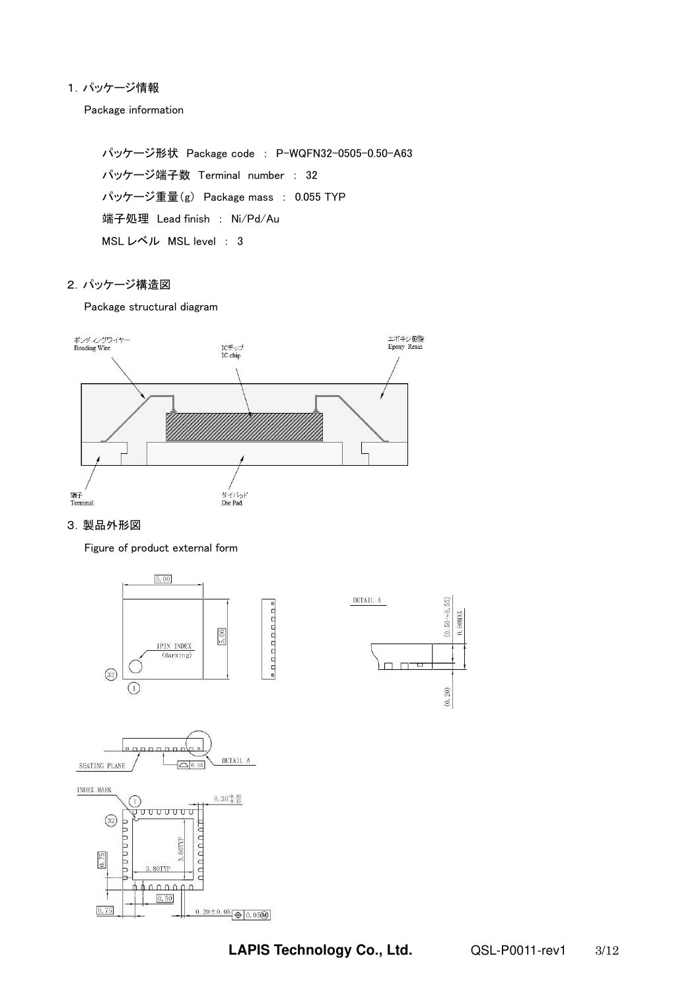# 1.パッケージ情報

Package information

パッケージ形状 Package code : P-WQFN32-0505-0.50-A63 パッケージ端子数 Terminal number : 32 パッケージ重量(g) Package mass : 0.055 TYP 端子処理 Lead finish : Ni/Pd/Au MSL レベル MSL level : 3

### 2.パッケージ構造図

Package structural diagram



# 3.製品外形図

Figure of product external form

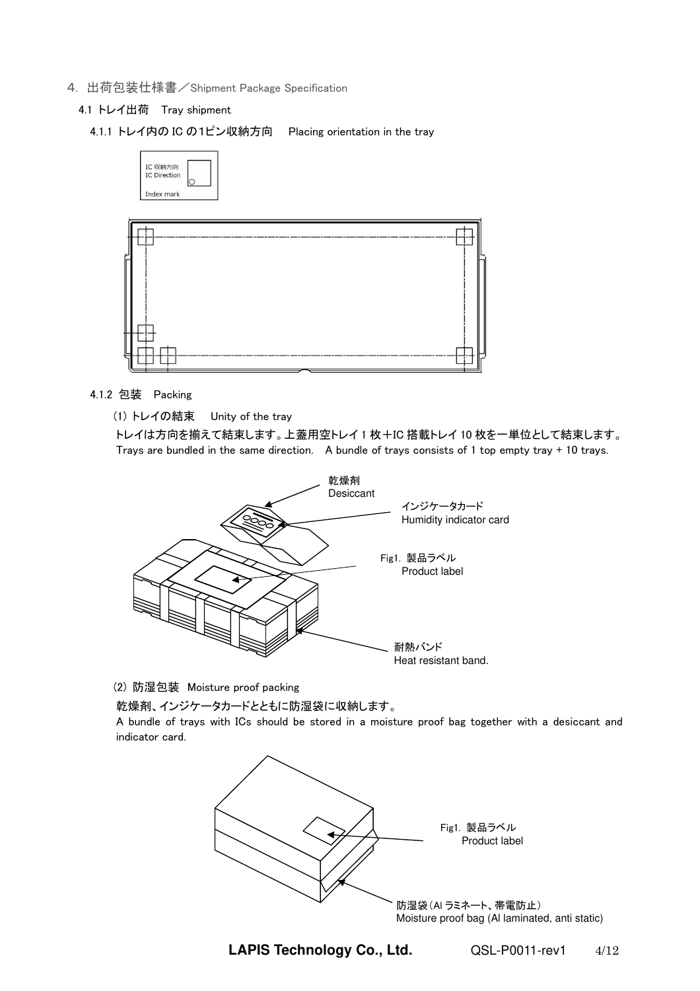- 4. 出荷包装仕様書/Shipment Package Specification
	- 4.1 トレイ出荷 Tray shipment
		- 4.1.1 トレイ内の IC の1ピン収納方向 Placing orientation in the tray



# 4.1.2 包装 Packing

(1) トレイの結束 Unity of the tray

トレイは方向を揃えて結束します。上蓋用空トレイ 1 枚+IC 搭載トレイ 10 枚を一単位として結束します。 Trays are bundled in the same direction. A bundle of trays consists of 1 top empty tray + 10 trays.



(2) 防湿包装 Moisture proof packing

乾燥剤、インジケータカードとともに防湿袋に収納します。

A bundle of trays with ICs should be stored in a moisture proof bag together with a desiccant and indicator card.



**LAPIS Technology Co., Ltd.** QSL-P0011-rev1 4/12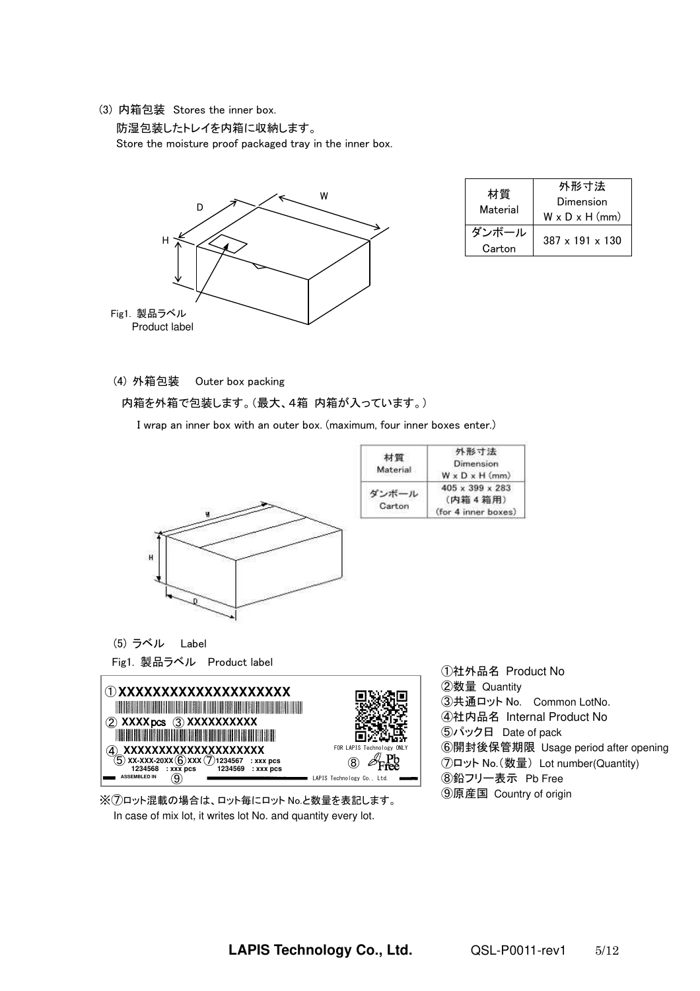(3) 内箱包装 Stores the inner box.

防湿包装したトレイを内箱に収納します。

Store the moisture proof packaged tray in the inner box.



| 材質<br>Material  | 外形寸法<br>Dimension<br>$W \times D \times H$ (mm) |
|-----------------|-------------------------------------------------|
| ダンボール<br>Carton | $387 \times 191 \times 130$                     |

### (4) 外箱包装 Outer box packing

#### 内箱を外箱で包装します。(最大、4箱 内箱が入っています。)

I wrap an inner box with an outer box. (maximum, four inner boxes enter.)



Fig1. 製品ラベル Product label



※⑦ロット混載の場合は、ロット毎にロット No.と数量を表記します。 In case of mix lot, it writes lot No. and quantity every lot.

①社外品名 Product No ②数量 Quantity ③共通ロット No. Common LotNo. ④社内品名 Internal Product No ⑤パック日 Date of pack ⑥開封後保管期限 Usage period after opening ⑦ロット No.(数量) Lot number(Quantity) ⑧鉛フリー表示 Pb Free ⑨原産国 Country of origin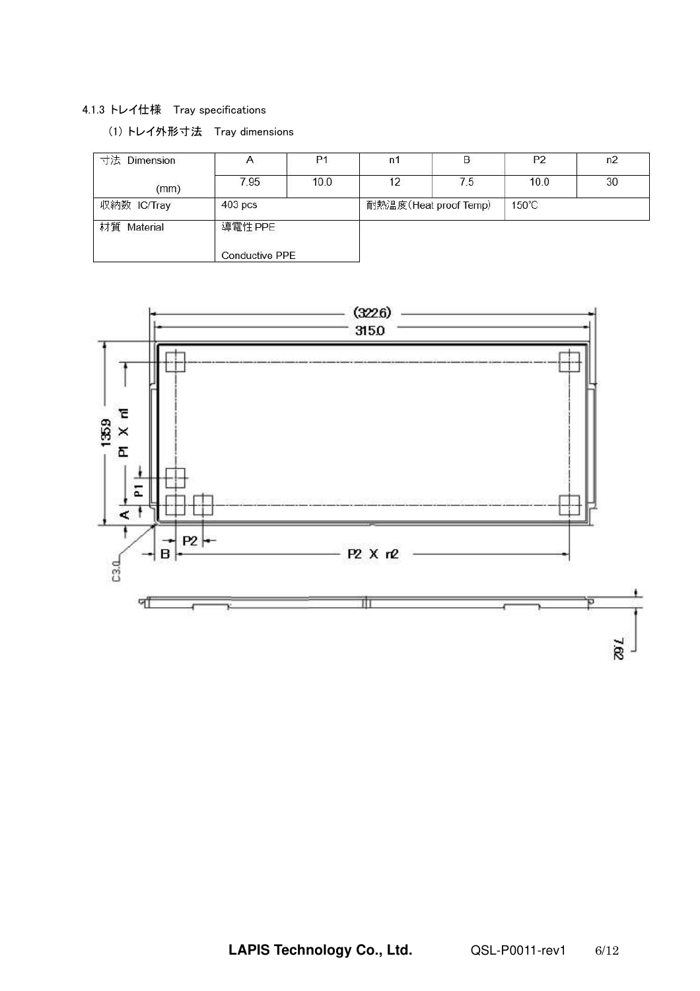# 4.1.3 トレイ仕様 Tray specifications

# (1) トレイ外形寸法 Tray dimensions

| 寸法<br>Dimension | $\mathcal{A}_{\mathcal{A}}$      | P <sub>1</sub> | n1 | B                     | P <sub>2</sub>  | n2 |
|-----------------|----------------------------------|----------------|----|-----------------------|-----------------|----|
| (mm)            | 7.95                             | 10.0           | 12 | 7.5                   | 10.0            | 30 |
| 収納数 IC/Tray     | $403$ pcs                        |                |    | 耐熱温度(Heat proof Temp) | $150^{\circ}$ C |    |
| 材質 Material     | 導電性 PPE<br><b>Conductive PPE</b> |                |    |                       |                 |    |

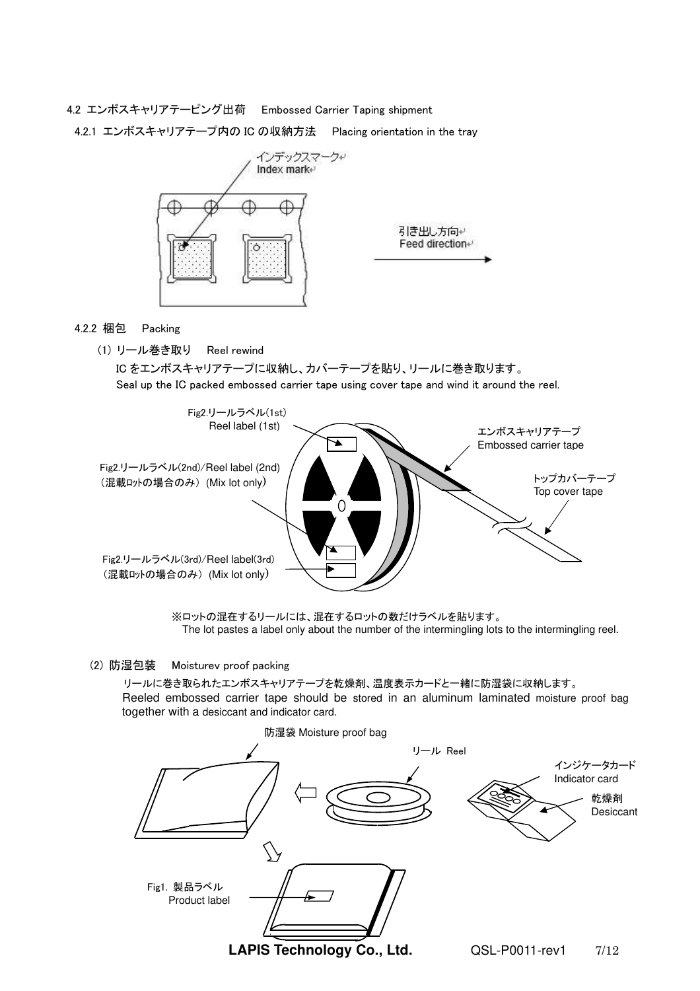4.2 エンボスキャリアテーピング出荷 Embossed Carrier Taping shipment

4.2.1 エンボスキャリアテープ内の IC の収納方法 Placing orientation in the tray



4.2.2 梱包 Packing

(1) リール巻き取り Reel rewind

IC をエンボスキャリアテープに収納し、カバーテープを貼り、リールに巻き取ります。 Seal up the IC packed embossed carrier tape using cover tape and wind it around the reel.



※ロットの混在するリールには、混在するロットの数だけラベルを貼ります。 The lot pastes a label only about the number of the intermingling lots to the intermingling reel.

## (2) 防湿包装 Moisturev proof packing

リールに巻き取られたエンボスキャリアテープを乾燥剤、温度表示カードと一緒に防湿袋に収納します。 Reeled embossed carrier tape should be stored in an aluminum laminated moisture proof bag together with a desiccant and indicator card.

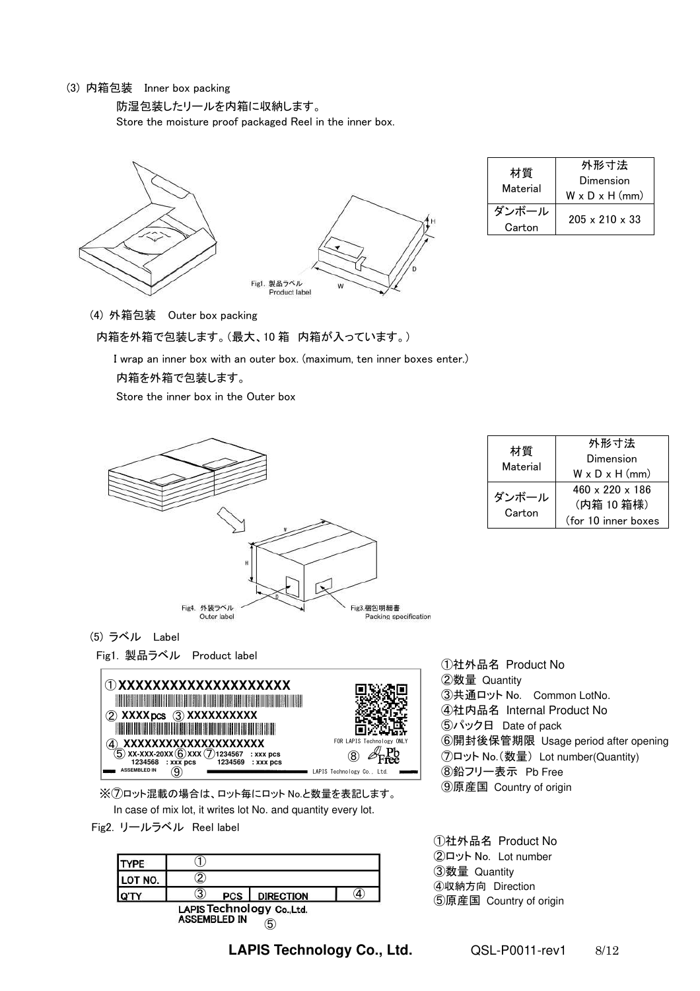## (3) 内箱包装 Inner box packing

防湿包装したリールを内箱に収納します。

Store the moisture proof packaged Reel in the inner box.



| 材質<br>Material  | 外形寸法<br>Dimension<br>$W \times D \times H$ (mm) |
|-----------------|-------------------------------------------------|
| ダンボール<br>Carton | $205 \times 210 \times 33$                      |

(4) 外箱包装 Outer box packing

#### 内箱を外箱で包装します。(最大、10 箱 内箱が入っています。)

 I wrap an inner box with an outer box. (maximum, ten inner boxes enter.) 内箱を外箱で包装します。

Store the inner box in the Outer box



| 材質<br>Material  | 外形寸法                        |
|-----------------|-----------------------------|
|                 | Dimension                   |
|                 | $W \times D \times H$ (mm)  |
| ダンボール<br>Carton | $460 \times 220 \times 186$ |
|                 | (内箱 10 箱様)                  |
|                 | (for 10 inner boxes         |

#### (5) ラベル Label

Fig1. 製品ラベル Product label



※⑦ロット混載の場合は、ロット毎にロット No.と数量を表記します。 In case of mix lot, it writes lot No. and quantity every lot.

Fig2. リールラベル Reel label

| YPF     |              |            |                            |  |
|---------|--------------|------------|----------------------------|--|
| LOT NO. | ቫ            |            |                            |  |
|         | 3            | <b>PCS</b> | <b>DIRECTION</b>           |  |
|         | ACCEMBLED IN |            | LAPIS Technology Co., Ltd. |  |

**ASSEMBLED IN** ⑤

**LAPIS Technology Co., Ltd.** QSL-P0011-rev1 8/12

①社外品名 Product No ②数量 Quantity ③共通ロット No. Common LotNo. ④社内品名 Internal Product No ⑤パック日 Date of pack ⑥開封後保管期限 Usage period after opening ⑦ロット No.(数量) Lot number(Quantity) ⑧鉛フリー表示 Pb Free ⑨原産国 Country of origin

①社外品名 Product No ②ロット No. Lot number ③数量 Quantity ④収納方向 Direction ⑤原産国 Country of origin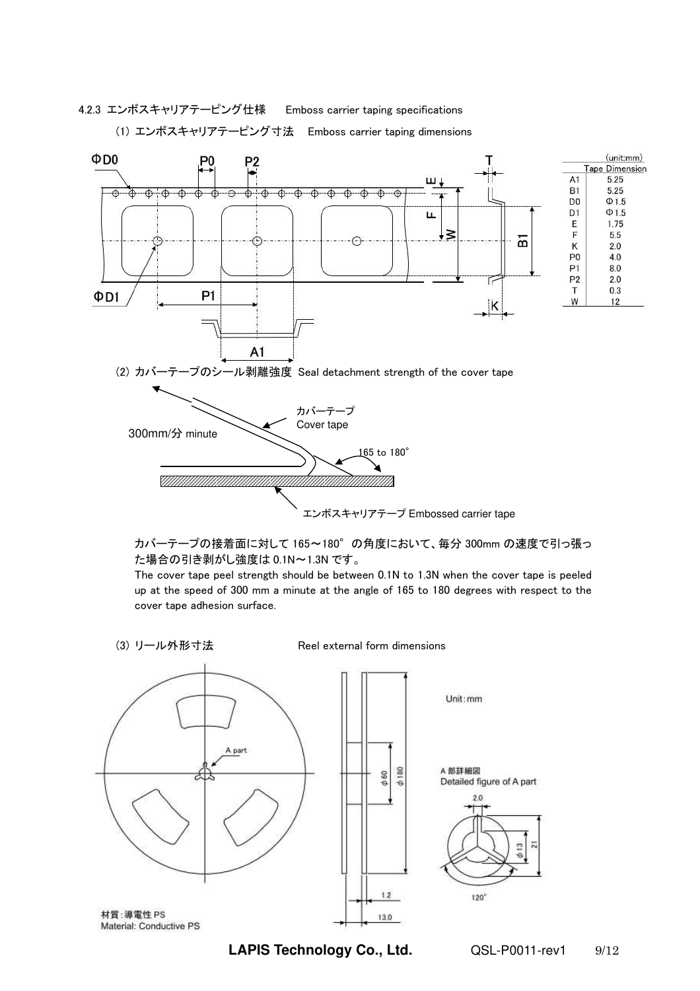4.2.3 エンボスキャリアテーピング仕様 Emboss carrier taping specifications

(1) エンボスキャリアテーピング寸法 Emboss carrier taping dimensions



カバーテープの接着面に対して 165~180°の角度において、毎分 300mm の速度で引っ張っ た場合の引き剥がし強度は 0.1N~1.3N です。

The cover tape peel strength should be between 0.1N to 1.3N when the cover tape is peeled up at the speed of 300 mm a minute at the angle of 165 to 180 degrees with respect to the cover tape adhesion surface.

(3) リール外形寸法 Reel external form dimensions



**LAPIS Technology Co., Ltd.** QSL-P0011-rev1 9/12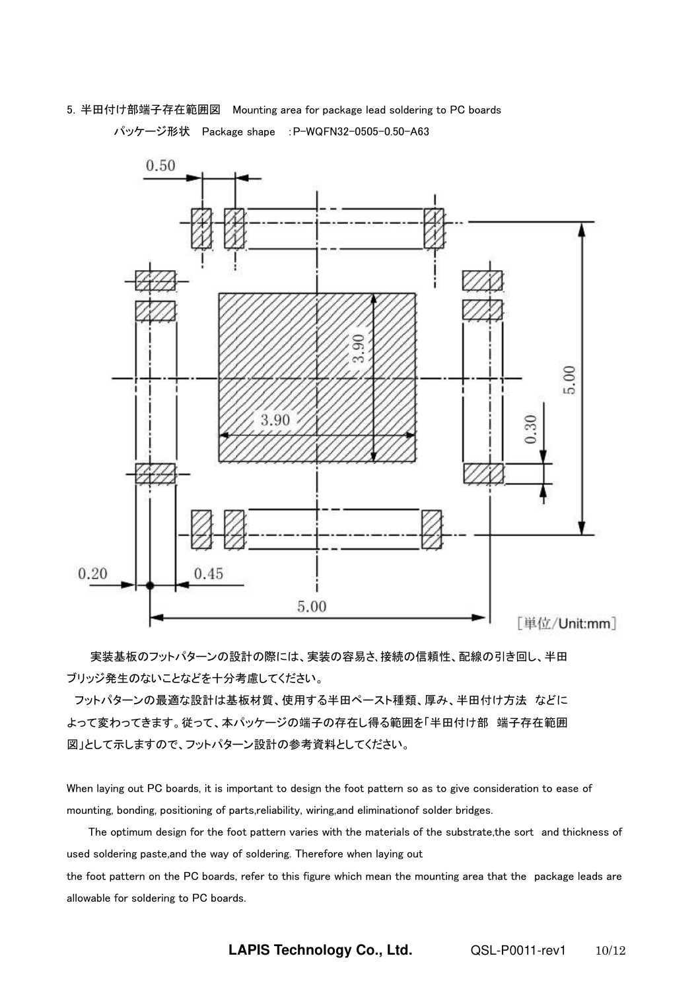5.半田付け部端子存在範囲図 Mounting area for package lead soldering to PC boards

パッケージ形状 Package shape :P-WQFN32-0505-0.50-A63



 実装基板のフットパターンの設計の際には、実装の容易さ、接続の信頼性、配線の引き回し、半田 ブリッジ発生のないことなどを十分考慮してください。

 フットパターンの最適な設計は基板材質、使用する半田ペースト種類、厚み、半田付け方法 などに よって変わってきます。従って、本パッケージの端子の存在し得る範囲を「半田付け部 端子存在範囲 図」として示しますので、フットパターン設計の参考資料としてください。

When laying out PC boards, it is important to design the foot pattern so as to give consideration to ease of mounting, bonding, positioning of parts,reliability, wiring,and eliminationof solder bridges.

 The optimum design for the foot pattern varies with the materials of the substrate,the sort and thickness of used soldering paste,and the way of soldering. Therefore when laying out

the foot pattern on the PC boards, refer to this figure which mean the mounting area that the package leads are allowable for soldering to PC boards.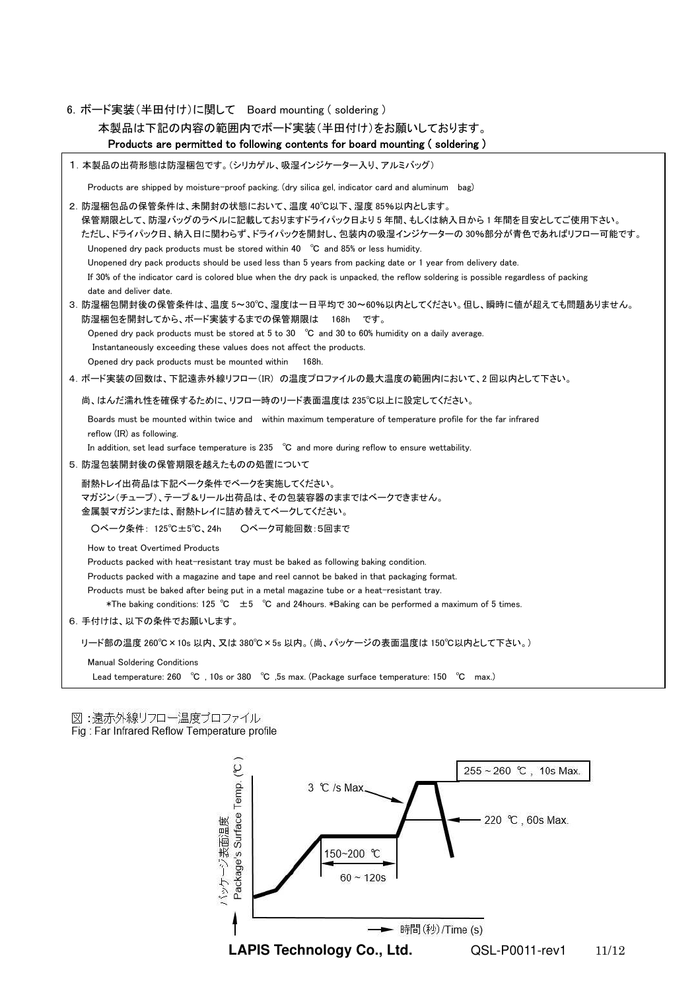```
6.ボード実装(半田付け)に関して Board mounting ( soldering )
```
本製品は下記の内容の範囲内でボード実装(半田付け)をお願いしております。

```
 Products are permitted to following contents for board mounting ( soldering )
```

```
1.本製品の出荷形態は防湿梱包です。(シリカゲル、吸湿インジケーター入り、アルミバッグ)
```
Products are shipped by moisture-proof packing. (dry silica gel, indicator card and aluminum bag)

```
2. 防湿梱包品の保管条件は、未開封の状態において、温度 40℃以下、湿度 85%以内とします。
   保管期限として、防湿バッグのラベルに記載しておりますドライパック日より 5 年間、もしくは納入日から 1 年間を目安としてご使用下さい。 
   ただし、ドライパック日、納入日に関わらず、ドライパックを開封し、包装内の吸湿インジケーターの 30%部分が青色であればリフロー可能です。 
    Unopened dry pack products must be stored within 40 ℃ and 85% or less humidity. 
    Unopened dry pack products should be used less than 5 years from packing date or 1 year from delivery date. 
    If 30% of the indicator card is colored blue when the dry pack is unpacked, the reflow soldering is possible regardless of packing 
    date and deliver date. 
3. 防湿梱包開封後の保管条件は、温度 5~30℃、湿度は一日平均で 30~60%以内としてください。但し、瞬時に値が超えても問題ありません。
```
 防湿梱包を開封してから、ボード実装するまでの保管期限は 168h です。 Opened dry pack products must be stored at 5 to 30 ℃ and 30 to 60% humidity on a daily average. Instantaneously exceeding these values does not affect the products. Opened dry pack products must be mounted within 168h.

4.ボード実装の回数は、下記遠赤外線リフロー(IR) の温度プロファイルの最大温度の範囲内において、2 回以内として下さい。

尚、はんだ濡れ性を確保するために、リフロー時のリード表面温度は 235℃以上に設定してください。

 Boards must be mounted within twice and within maximum temperature of temperature profile for the far infrared reflow (IR) as following.

In addition, set lead surface temperature is 235 ℃ and more during reflow to ensure wettability.

5.防湿包装開封後の保管期限を越えたものの処置について

 耐熱トレイ出荷品は下記ベーク条件でベークを実施してください。 マガジン(チューブ)、テープ&リール出荷品は、その包装容器のままではベークできません。 金属製マガジンまたは、耐熱トレイに詰め替えてベークしてください。

○ベーク条件: 125℃±5℃、24h ○ベーク可能回数:5回まで

How to treat Overtimed Products

Products packed with heat-resistant tray must be baked as following baking condition.

Products packed with a magazine and tape and reel cannot be baked in that packaging format.

Products must be baked after being put in a metal magazine tube or a heat-resistant tray.

\*The baking conditions: 125 ℃ ±5 ℃ and 24hours. \*Baking can be performed a maximum of 5 times.

6.手付けは、以下の条件でお願いします。

リード部の温度 260℃×10s 以内、又は 380℃×5s 以内。(尚、パッケージの表面温度は 150℃以内として下さい。)

Manual Soldering Conditions

Lead temperature: 260 ℃ , 10s or 380 ℃ ,5s max. (Package surface temperature: 150 ℃ max.)

図:遠赤外線リフロー温度プロファイル

Fig.: Far Infrared Reflow Temperature profile